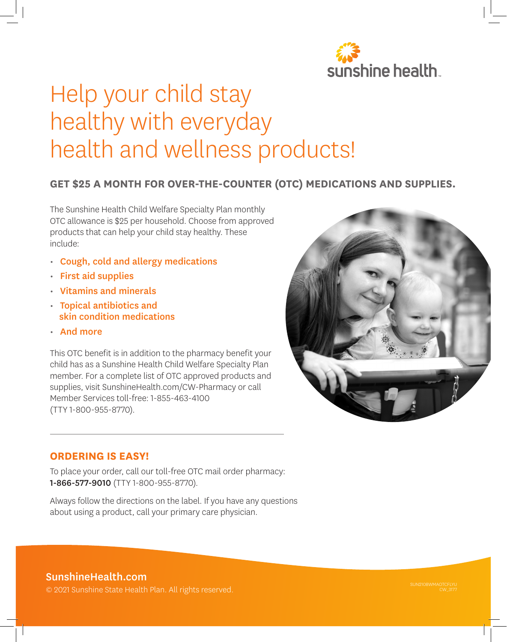

# Help your child stay healthy with everyday health and wellness products!

## **GET \$25 A MONTH FOR OVER-THE-COUNTER (OTC) MEDICATIONS AND SUPPLIES.**

The Sunshine Health Child Welfare Specialty Plan monthly OTC allowance is \$25 per household. Choose from approved products that can help your child stay healthy. These include:

- Cough, cold and allergy medications
- First aid supplies
- Vitamins and minerals
- Topical antibiotics and skin condition medications
- And more

This OTC benefit is in addition to the pharmacy benefit your child has as a Sunshine Health Child Welfare Specialty Plan member. For a complete list of OTC approved products and supplies, visit SunshineHealth.com/CW-Pharmacy or call Member Services toll-free: 1-855-463-4100 (TTY 1-800-955-8770).



#### **ORDERING IS EASY!**

To place your order, call our toll-free OTC mail order pharmacy: 1-866-577-9010 (TTY 1-800-955-8770).

Always follow the directions on the label. If you have any questions about using a product, call your primary care physician.

## SunshineHealth.com

© 2021 Sunshine State Health Plan. All rights reserved.